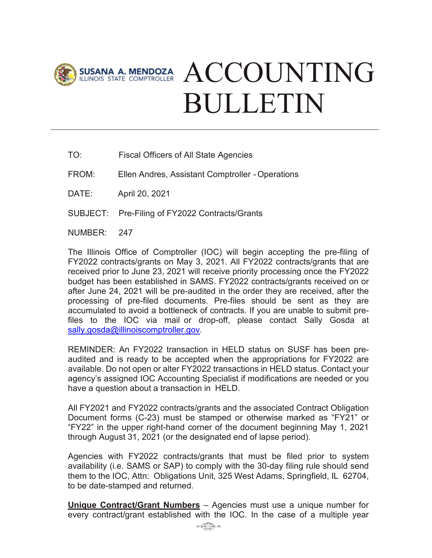

## SUSANA A. MENDOZA ACCOUNTING BULLETIN

- TO: Fiscal Officers of All State Agencies
- FROM: Ellen Andres, Assistant Comptroller Operations
- DATE: April 20, 2021
- SUBJECT: Pre-Filing of FY2022 Contracts/Grants
- NUMBER: 247

The Illinois Office of Comptroller (IOC) will begin accepting the pre-filing of FY2022 contracts/grants on May 3, 2021. All FY2022 contracts/grants that are received prior to June 23, 2021 will receive priority processing once the FY2022 budget has been established in SAMS. FY2022 contracts/grants received on or after June 24, 2021 will be pre-audited in the order they are received, after the processing of pre-filed documents. Pre-files should be sent as they are accumulated to avoid a bottleneck of contracts. If you are unable to submit prefiles to the IOC via mail or drop-off, please contact Sally Gosda at [sally.gosda@illinoiscomptroller.gov.](mailto:sally.gosda@illinoiscomptroller.gov)

REMINDER: An FY2022 transaction in HELD status on SUSF has been preaudited and is ready to be accepted when the appropriations for FY2022 are available. Do not open or alter FY2022 transactions in HELD status. Contact your agency's assigned IOC Accounting Specialist if modifications are needed or you have a question about a transaction in HELD.

All FY2021 and FY2022 contracts/grants and the associated Contract Obligation Document forms (C-23) must be stamped or otherwise marked as "FY21" or "FY22" in the upper right-hand corner of the document beginning May 1, 2021 through August 31, 2021 (or the designated end of lapse period).

Agencies with FY2022 contracts/grants that must be filed prior to system availability (i.e. SAMS or SAP) to comply with the 30-day filing rule should send them to the IOC, Attn: Obligations Unit, 325 West Adams, Springfield, IL 62704, to be date-stamped and returned.

**Unique Contract/Grant Numbers** – Agencies must use a unique number for every contract/grant established with the IOC. In the case of a multiple year